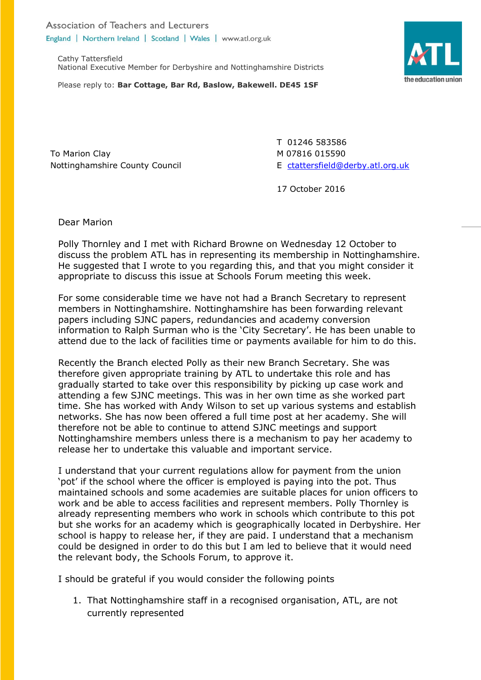Association of Teachers and Lecturers England | Northern Ireland | Scotland | Wales | www.atl.org.uk

Cathy Tattersfield National Executive Member for Derbyshire and Nottinghamshire Districts



To Marion Clay Nottinghamshire County Council T 01246 583586 M 07816 015590 E [ctattersfield@derby.atl.org.uk](mailto:ctattersfield@derby.atl.org.uk)

17 October 2016

Dear Marion

Polly Thornley and I met with Richard Browne on Wednesday 12 October to discuss the problem ATL has in representing its membership in Nottinghamshire. He suggested that I wrote to you regarding this, and that you might consider it appropriate to discuss this issue at Schools Forum meeting this week.

For some considerable time we have not had a Branch Secretary to represent members in Nottinghamshire. Nottinghamshire has been forwarding relevant papers including SJNC papers, redundancies and academy conversion information to Ralph Surman who is the 'City Secretary'. He has been unable to attend due to the lack of facilities time or payments available for him to do this.

Recently the Branch elected Polly as their new Branch Secretary. She was therefore given appropriate training by ATL to undertake this role and has gradually started to take over this responsibility by picking up case work and attending a few SJNC meetings. This was in her own time as she worked part time. She has worked with Andy Wilson to set up various systems and establish networks. She has now been offered a full time post at her academy. She will therefore not be able to continue to attend SJNC meetings and support Nottinghamshire members unless there is a mechanism to pay her academy to release her to undertake this valuable and important service.

I understand that your current regulations allow for payment from the union 'pot' if the school where the officer is employed is paying into the pot. Thus maintained schools and some academies are suitable places for union officers to work and be able to access facilities and represent members. Polly Thornley is already representing members who work in schools which contribute to this pot but she works for an academy which is geographically located in Derbyshire. Her school is happy to release her, if they are paid. I understand that a mechanism could be designed in order to do this but I am led to believe that it would need the relevant body, the Schools Forum, to approve it.

I should be grateful if you would consider the following points

1. That Nottinghamshire staff in a recognised organisation, ATL, are not currently represented